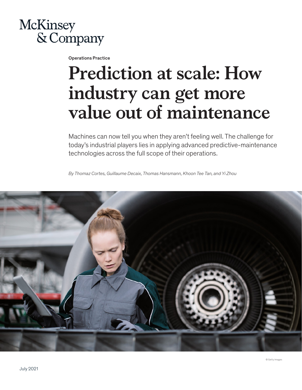

Operations Practice

# **Prediction at scale: How industry can get more value out of maintenance**

Machines can now tell you when they aren't feeling well. The challenge for today's industrial players lies in applying advanced predictive-maintenance technologies across the full scope of their operations.

*By Thomaz Cortes, Guillaume Decaix, Thomas Hansmann, Khoon Tee Tan, and Yi Zhou*

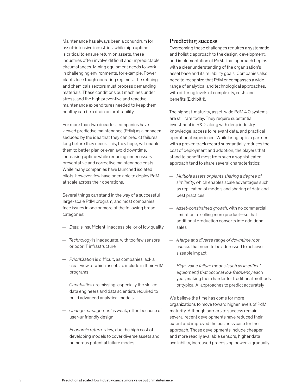Maintenance has always been a conundrum for asset-intensive industries: while high uptime is critical to ensure return on assets, these industries often involve difficult and unpredictable circumstances. Mining equipment needs to work in challenging environments, for example. Power plants face tough operating regimes. The refining and chemicals sectors must process demanding materials. These conditions put machines under stress, and the high preventive and reactive maintenance expenditures needed to keep them healthy can be a drain on profitability.

For more than two decades, companies have viewed predictive maintenance (PdM) as a panacea, seduced by the idea that they can predict failures long before they occur. This, they hope, will enable them to better plan or even avoid downtime, increasing uptime while reducing unnecessary preventative and corrective maintenance costs. While many companies have launched isolated pilots, however, few have been able to deploy PdM at scale across their operations.

Several things can stand in the way of a successful large-scale PdM program, and most companies face issues in one or more of the following broad categories:

- *Data* is insufficient, inaccessible, or of low quality
- *Technology* is inadequate, with too few sensors or poor IT infrastructure
- *Prioritization* is difficult, as companies lack a clear view of which assets to include in their PdM programs
- *Capabilities* are missing, especially the skilled data engineers and data scientists required to build advanced analytical models
- *Change management* is weak, often because of user-unfriendly design
- *Economic return* is low, due the high cost of developing models to cover diverse assets and numerous potential failure modes

#### **Predicting success**

Overcoming these challenges requires a systematic and holistic approach to the design, development, and implementation of PdM. That approach begins with a clear understanding of the organization's asset base and its reliability goals. Companies also need to recognize that PdM encompasses a wide range of analytical and technological approaches, with differing levels of complexity, costs and benefits (Exhibit 1).

The highest-maturity, asset-wide PdM 4.0 systems are still rare today. They require substantial investment in R&D, along with deep industry knowledge, access to relevant data, and practical operational experience. While bringing in a partner with a proven track record substantially reduces the cost of deployment and adoption, the players that stand to benefit most from such a sophisticated approach tend to share several characteristics:

- *Multiple assets or plants sharing a degree of similarity*, which enables scale advantages such as replication of models and sharing of data and best practices
- *Asset-constrained growth*, with no commercial limitation to selling more product—so that additional production converts into additional sales
- *A large and diverse range of downtime root causes* that need to be addressed to achieve sizeable impact
- *High-value failure modes (such as in critical equipment) that occur at low frequency* each year, making them harder for traditional methods or typical AI approaches to predict accurately

We believe the time has come for more organizations to move toward higher levels of PdM maturity. Although barriers to success remain, several recent developments have reduced their extent and improved the business case for the approach. Those developments include cheaper and more readily available sensors, higher data availability, increased processing power, a gradually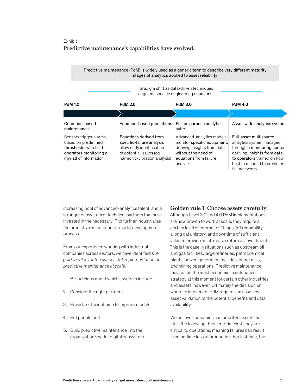## Exhibit 1 **Predictive maintenance's capabilities have evolved.** Predictive maintenance's capabilities have evolved.

## Predictive maintenance (PdM) is widely used as a generic term to describe very different maturity stages of analytics applied to asset reliability

Paradigm shift as data-driven techniques augment specific engineering equations

| <b>PdM 1.0</b>                                                                                                             | <b>PdM 2.0</b>                                                                                                                               | <b>PdM 3.0</b>                                                                                                                                       | <b>PdM 4.0</b>                                                                                                                                                                                     |
|----------------------------------------------------------------------------------------------------------------------------|----------------------------------------------------------------------------------------------------------------------------------------------|------------------------------------------------------------------------------------------------------------------------------------------------------|----------------------------------------------------------------------------------------------------------------------------------------------------------------------------------------------------|
|                                                                                                                            |                                                                                                                                              |                                                                                                                                                      |                                                                                                                                                                                                    |
| Condition-based<br>maintenance                                                                                             | Equation-based predictions                                                                                                                   | Fit-for-purpose analytics<br>suite                                                                                                                   | Asset-wide analytics system                                                                                                                                                                        |
| Sensors trigger alarms<br>based on predefined<br>thresholds, with field<br>operators monitoring a<br>myriad of information | Equations derived from<br>specific-failure analysis<br>allow early identification<br>of potential issues (eq<br>harmonic-vibration analysis) | Advanced-analytics models<br>monitor specific equipment.<br>deriving insights from data<br>without the need of<br>equations from failure<br>analysis | Full-asset multisource<br>analytics system managed<br>through a monitoring center,<br>deriving insights from data<br>to operators trained on how<br>best to respond to predicted<br>failure events |

increasing pool of advanced-analytics talent, and a stronger ecosystem of technical partners that have invested in the necessary IP to further industrialize the predictive-maintenance-model development process.

From our experience working with industrial companies across sectors, we have identified *five golden rules for the successful implementation of predictive maintenance at scale.*

- 1. Be judicious about which assets to include
- 2. Consider the right partners
- 3. Provide sufficient time to improve models
- 4. Put people first
- 5. Build predictive maintenance into the organization's wider digital ecosystem

# **Golden rule 1: Choose assets carefully**

Although Level 3.0 and 4.0 PdM implementations are now proven to work at scale, they require a certain level of Internet of Things (IoT) capability, a long data history, and downtime of sufficient value to provide an attractive return on investment. This is the case in situations such as upstream oil and gas facilities, large refineries, petrochemical plants, power-generation facilities, paper mills, and mining operations. Predictive maintenance may not be the most economic maintenance strategy at this moment for certain other industries and assets, however. Ultimately the decision on where to implement PdM requires an asset-byasset validation of the potential benefits and data availability.

We believe companies can prioritize assets that fulfill the following three criteria. First, they are critical to operations, meaning failures can result in immediate loss of production. For instance, the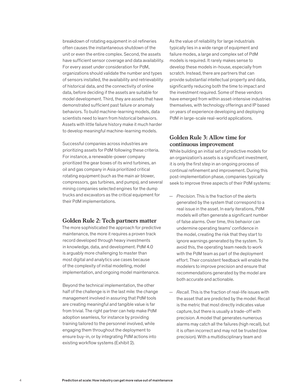breakdown of rotating equipment in oil refineries often causes the instantaneous shutdown of the unit or even the entire complex. Second, the assets have sufficient sensor coverage and data availability. For every asset under consideration for PdM, organizations should validate the number and types of sensors installed, the availability and retrievability of historical data, and the connectivity of online data, before deciding if the assets are suitable for model development. Third, they are assets that have demonstrated sufficient past failure or anomaly behaviors. To build machine-learning models, data scientists need to learn from historical behaviors. Assets with little failure history make it much harder to develop meaningful machine-learning models.

Successful companies across industries are prioritizing assets for PdM following these criteria. For instance, a renewable-power company prioritized the gear boxes of its wind turbines, an oil and gas company in Asia prioritized critical rotating equipment (such as the main air blower, compressors, gas turbines, and pumps), and several mining companies selected engines for the dump trucks and excavators as the critical equipment for their PdM implementations.

## **Golden Rule 2: Tech partners matter**

The more sophisticated the approach for predictive maintenance, the more it requires a proven track record developed through heavy investments in knowledge, data, and development. PdM 4.0 is arguably more challenging to master than most digital and analytics use cases because of the complexity of initial modelling, model implementation, and ongoing model maintenance.

Beyond the technical implementation, the other half of the challenge is in the last mile: the change management involved in assuring that PdM tools are creating meaningful and tangible value is far from trivial. The right partner can help make PdM adoption seamless, for instance by providing training tailored to the personnel involved, while engaging them throughout the deployment to ensure buy-in, or by integrating PdM actions into existing workflow systems (Exhibit 2).

As the value of reliability for large industrials typically lies in a wide range of equipment and failure modes, a large and complex set of PdM models is required. It rarely makes sense to develop these models in-house, especially from scratch. Instead, there are partners that can provide substantial intellectual property and data, significantly reducing both the time to impact and the investment required. Some of these vendors have emerged from within asset-intensive industries themselves, with technology offerings and IP based on years of experience developing and deploying PdM in large-scale real-world applications.

## **Golden Rule 3: Allow time for continuous improvement**

While building an initial set of predictive models for an organization's assets is a significant investment, it is only the first step in an ongoing process of continual refinement and improvement. During this post-implementation phase, companies typically seek to improve three aspects of their PdM systems:

- *Precision.* This is the fraction of the alerts generated by the system that correspond to a real issue in the asset. In early iterations, PdM models will often generate a significant number of false alarms. Over time, this behavior can undermine operating teams' confidence in the model, creating the risk that they start to ignore warnings generated by the system. To avoid this, the operating team needs to work with the PdM team as part of the deployment effort. Their consistent feedback will enable the modelers to improve precision and ensure that recommendations generated by the model are both accurate and actionable.
- *Recall.* This is the fraction of real-life issues with the asset that are predicted by the model. Recall is the metric that most directly indicates value capture, but there is usually a trade-off with precision. A model that generates numerous alarms may catch all the failures (high recall), but it is often incorrect and may not be trusted (low precision). With a multidisciplinary team and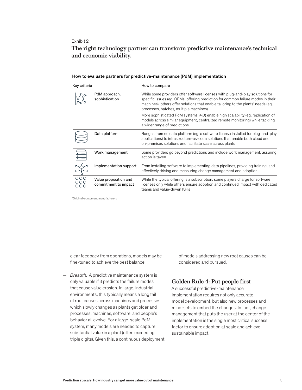## Exhibit 2

# **The right technology partner can transform predictive maintenance's technical And economic viability.**

#### How to evaluate partners for predictive-maintenance (PdM) implementation

| Key criteria                    |                                               | How to compare                                                                                                                                                                                                                                                                                               |  |
|---------------------------------|-----------------------------------------------|--------------------------------------------------------------------------------------------------------------------------------------------------------------------------------------------------------------------------------------------------------------------------------------------------------------|--|
| PdM approach,<br>sophistication |                                               | While some providers offer software licenses with plug-and-play solutions for<br>specific issues (eg, OEMs <sup>1</sup> offering prediction for common failure modes in their<br>machines), others offer solutions that enable tailoring to the plants' needs (eg,<br>processes, batches, multiple machines) |  |
|                                 |                                               | More sophisticated PdM systems (4.0) enable high scalability (eg, replication of<br>models across similar equipment, centralized remote monitoring) while tackling<br>a wider range of predictions                                                                                                           |  |
|                                 | Data platform                                 | Ranges from no data platform (eg, a software license installed for plug-and-play<br>applications) to infrastructure-as-code solutions that enable both cloud and<br>on-premises solutions and facilitate scale across plants                                                                                 |  |
|                                 | Work management                               | Some providers go beyond predictions and include work management, assuring<br>action is taken                                                                                                                                                                                                                |  |
|                                 | Implementation support                        | From installing software to implementing data pipelines, providing training, and<br>effectively driving and measuring change management and adoption                                                                                                                                                         |  |
| 000<br>OOO<br>OOO               | Value proposition and<br>commitment to impact | While the typical offering is a subscription, some players charge for software<br>licenses only while others ensure adoption and continued impact with dedicated<br>teams and value-driven KPIs                                                                                                              |  |

1 Original-equipment manufacturers

clear feedback from operations, models may be fine-tuned to achieve the best balance.

— *Breadth.* A predictive maintenance system is only valuable if it predicts the failure modes that cause value erosion. In large, industrial environments, this typically means a long tail of root causes across machines and processes, which slowly changes as plants get older and processes, machines, software, and people's behavior all evolve. For a large-scale PdM system, many models are needed to capture substantial value in a plant (often exceeding triple digits). Given this, a continuous deployment of models addressing new root causes can be considered and pursued.

# **Golden Rule 4: Put people first**

A successful predictive-maintenance implementation requires not only accurate model development, but also new processes and mind-sets to embed the changes. In fact, change management that puts the user at the center of the implementation is the single most critical success factor to ensure adoption at scale and achieve sustainable impact.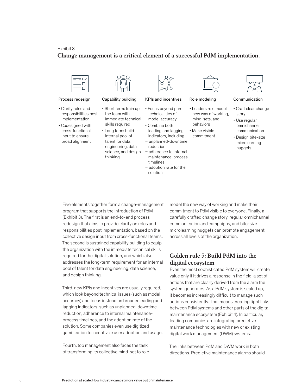#### Exhibit 3

#### **Change management is a critical element of a successful PdM implementation.** Change management is a critical element of a successful PdM



- Clarify roles and responsibilities post implementation
- Codesigned with cross-functional input to ensure broad alignment



#### Process redesign Capability building KPIs and incentives Role modeling Communication

- Short term: train up the team with immediate technical skills required
- Long term: build internal pool of talent for data engineering, data thinking
- 

- Focus beyond pure technicalities of model accuracy
- Combine both leading and lagging indicators, including
- science, and design adherence to internal − unplanned-downtime reduction maintenance-process
	- timelines − adoption rate for the solution



- Leaders role model new way of working, mind-sets, and behaviors
- Make visible commitment
- 



- Craft clear change story
- Use regular omnichannel communication
- Design bite-size microlearning nuggets

Five elements together form a change-management program that supports the introduction of PdM (Exhibit 3). The first is an end-to-end process redesign that aims to provide clarity on roles and responsibilities post implementation, based on the collective design input from cross-functional teams. The second is sustained capability building to equip the organization with the immediate technical skills required for the digital solution, and which also addresses the long-term requirement for an internal pool of talent for data engineering, data science, and design thinking.

Third, new KPIs and incentives are usually required, which look beyond technical issues (such as model accuracy) and focus instead on broader leading and lagging indicators, such as unplanned-downtime reduction, adherence to internal maintenanceprocess timelines, and the adoption rate of the solution. Some companies even use digitized gamification to incentivize user adoption and usage.

Fourth, top management also faces the task of transforming its collective mind-set to role model the new way of working and make their commitment to PdM visible to everyone. Finally, a carefully crafted change story, regular omnichannel communication and campaigns, and bite-size microlearning nuggets can promote engagement across all levels of the organization.

# **Golden rule 5: Build PdM into the digital ecosystem**

Even the most sophisticated PdM system will create value only if it drives a response in the field: a set of actions that are clearly derived from the alarm the system generates. As a PdM system is scaled up, it becomes increasingly difficult to manage such actions consistently. That means creating tight links between PdM systems and other parts of the digital maintenance ecosystem (Exhibit 4). In particular, leading companies are integrating predictive maintenance technologies with new or existing digital work management (DWM) systems.

The links between PdM and DWM work in both directions. Predictive maintenance alarms should